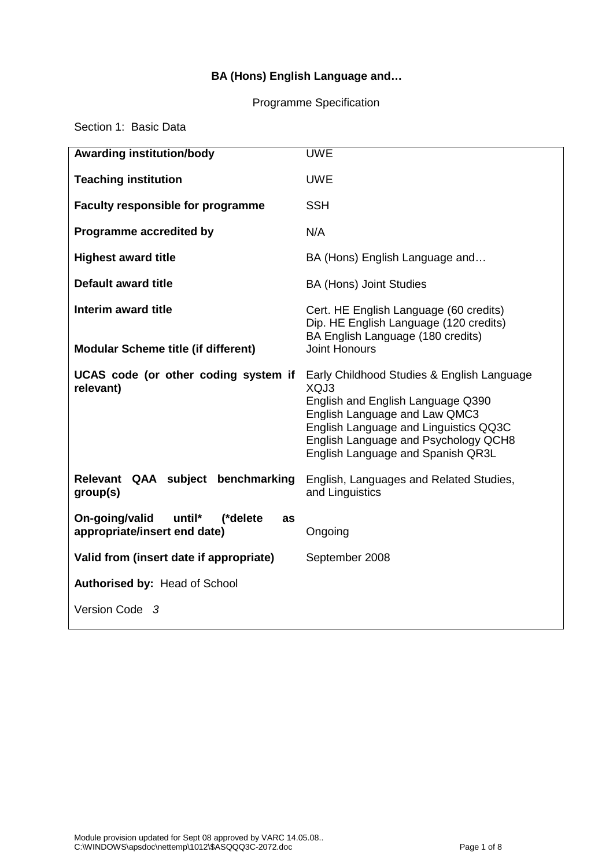# **BA (Hons) English Language and…**

#### Programme Specification

Section 1: Basic Data

| <b>Awarding institution/body</b>                                           | <b>UWE</b>                                                                                                                                                                                                                                     |  |
|----------------------------------------------------------------------------|------------------------------------------------------------------------------------------------------------------------------------------------------------------------------------------------------------------------------------------------|--|
| <b>Teaching institution</b>                                                | <b>UWE</b>                                                                                                                                                                                                                                     |  |
| <b>Faculty responsible for programme</b>                                   | <b>SSH</b>                                                                                                                                                                                                                                     |  |
| Programme accredited by                                                    | N/A                                                                                                                                                                                                                                            |  |
| <b>Highest award title</b>                                                 | BA (Hons) English Language and                                                                                                                                                                                                                 |  |
| <b>Default award title</b>                                                 | <b>BA (Hons) Joint Studies</b>                                                                                                                                                                                                                 |  |
| Interim award title<br><b>Modular Scheme title (if different)</b>          | Cert. HE English Language (60 credits)<br>Dip. HE English Language (120 credits)<br>BA English Language (180 credits)<br><b>Joint Honours</b>                                                                                                  |  |
| UCAS code (or other coding system if<br>relevant)                          | Early Childhood Studies & English Language<br>XQJ3<br>English and English Language Q390<br>English Language and Law QMC3<br>English Language and Linguistics QQ3C<br>English Language and Psychology QCH8<br>English Language and Spanish QR3L |  |
| Relevant QAA subject benchmarking<br>group(s)                              | English, Languages and Related Studies,<br>and Linguistics                                                                                                                                                                                     |  |
| On-going/valid<br>until*<br>(*delete<br>as<br>appropriate/insert end date) | Ongoing                                                                                                                                                                                                                                        |  |
| Valid from (insert date if appropriate)                                    | September 2008                                                                                                                                                                                                                                 |  |
| Authorised by: Head of School                                              |                                                                                                                                                                                                                                                |  |
| Version Code 3                                                             |                                                                                                                                                                                                                                                |  |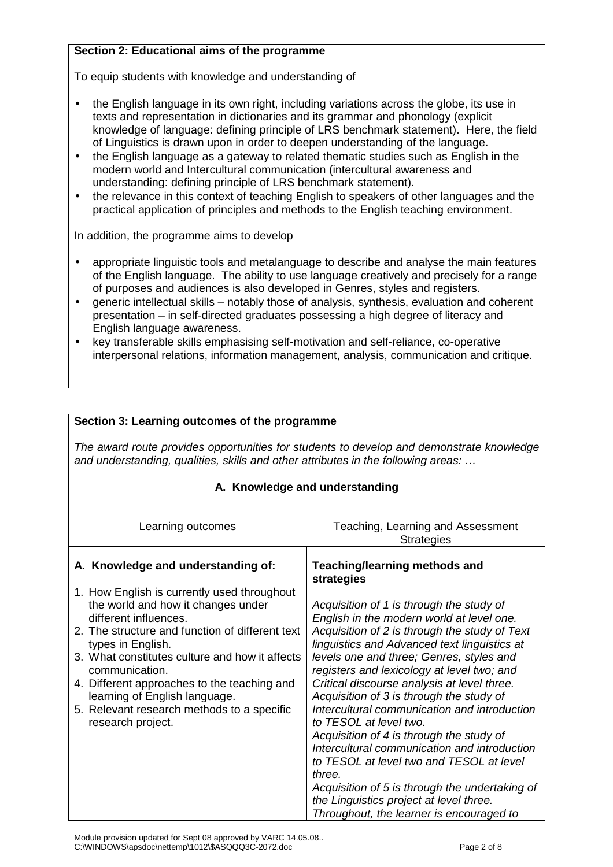# **Section 2: Educational aims of the programme**

To equip students with knowledge and understanding of

- the English language in its own right, including variations across the globe, its use in texts and representation in dictionaries and its grammar and phonology (explicit knowledge of language: defining principle of LRS benchmark statement). Here, the field of Linguistics is drawn upon in order to deepen understanding of the language.
- the English language as a gateway to related thematic studies such as English in the modern world and Intercultural communication (intercultural awareness and understanding: defining principle of LRS benchmark statement).
- the relevance in this context of teaching English to speakers of other languages and the practical application of principles and methods to the English teaching environment.

In addition, the programme aims to develop

**Section 3: Learning outcomes of the programme**

- appropriate linguistic tools and metalanguage to describe and analyse the main features of the English language. The ability to use language creatively and precisely for a range of purposes and audiences is also developed in Genres, styles and registers.
- generic intellectual skills notably those of analysis, synthesis, evaluation and coherent presentation – in self-directed graduates possessing a high degree of literacy and English language awareness.
- key transferable skills emphasising self-motivation and self-reliance, co-operative interpersonal relations, information management, analysis, communication and critique.

| The award route provides opportunities for students to develop and demonstrate knowledge<br>and understanding, qualities, skills and other attributes in the following areas:                                                                                                                                                                                                                             |                                                                                                                                                                                                                                                                                                                                                                                                                                                                                                                                                                                                                                                                                                                                                  |  |  |
|-----------------------------------------------------------------------------------------------------------------------------------------------------------------------------------------------------------------------------------------------------------------------------------------------------------------------------------------------------------------------------------------------------------|--------------------------------------------------------------------------------------------------------------------------------------------------------------------------------------------------------------------------------------------------------------------------------------------------------------------------------------------------------------------------------------------------------------------------------------------------------------------------------------------------------------------------------------------------------------------------------------------------------------------------------------------------------------------------------------------------------------------------------------------------|--|--|
| A. Knowledge and understanding                                                                                                                                                                                                                                                                                                                                                                            |                                                                                                                                                                                                                                                                                                                                                                                                                                                                                                                                                                                                                                                                                                                                                  |  |  |
| Learning outcomes                                                                                                                                                                                                                                                                                                                                                                                         | Teaching, Learning and Assessment<br><b>Strategies</b>                                                                                                                                                                                                                                                                                                                                                                                                                                                                                                                                                                                                                                                                                           |  |  |
| A. Knowledge and understanding of:                                                                                                                                                                                                                                                                                                                                                                        | Teaching/learning methods and<br>strategies                                                                                                                                                                                                                                                                                                                                                                                                                                                                                                                                                                                                                                                                                                      |  |  |
| 1. How English is currently used throughout<br>the world and how it changes under<br>different influences.<br>2. The structure and function of different text<br>types in English.<br>3. What constitutes culture and how it affects<br>communication.<br>4. Different approaches to the teaching and<br>learning of English language.<br>5. Relevant research methods to a specific<br>research project. | Acquisition of 1 is through the study of<br>English in the modern world at level one.<br>Acquisition of 2 is through the study of Text<br>linguistics and Advanced text linguistics at<br>levels one and three; Genres, styles and<br>registers and lexicology at level two; and<br>Critical discourse analysis at level three.<br>Acquisition of 3 is through the study of<br>Intercultural communication and introduction<br>to TESOL at level two.<br>Acquisition of 4 is through the study of<br>Intercultural communication and introduction<br>to TESOL at level two and TESOL at level<br>three.<br>Acquisition of 5 is through the undertaking of<br>the Linguistics project at level three.<br>Throughout, the learner is encouraged to |  |  |

Module provision updated for Sept 08 approved by VARC 14.05.08.. C:\WINDOWS\apsdoc\nettemp\1012\\$ASQQQ3C-2072.doc Page 2 of 8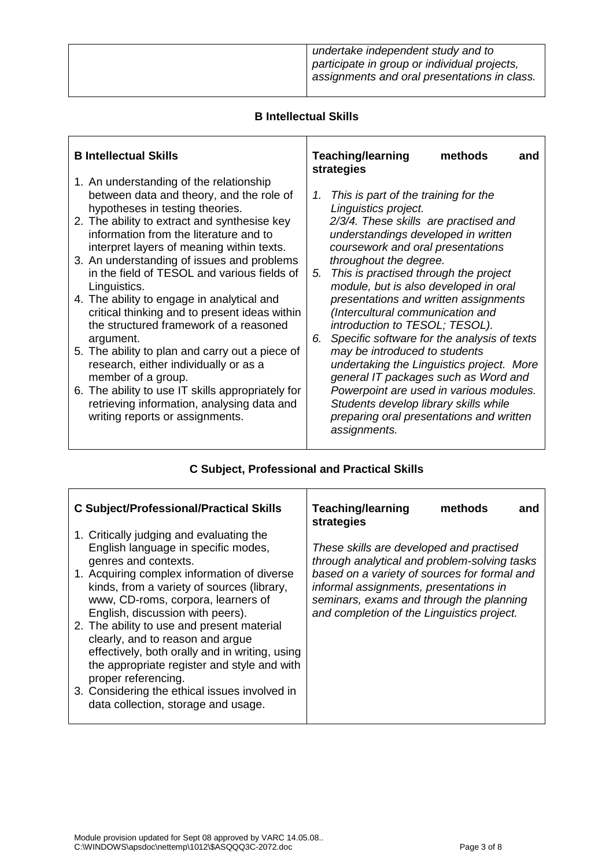|  | undertake independent study and to<br>participate in group or individual projects,<br>assignments and oral presentations in class. |
|--|------------------------------------------------------------------------------------------------------------------------------------|
|--|------------------------------------------------------------------------------------------------------------------------------------|

## **B Intellectual Skills**

| <b>B</b> Intellectual Skills                                                                                                                                                                                                                                                                                                                                                                                                                                                                                                                                                                                                                                                                            | <b>Teaching/learning</b><br>methods<br>and<br>strategies                                                                                                                                                                                                                                                                                                                                                                                                                                                                                                                                                                                       |
|---------------------------------------------------------------------------------------------------------------------------------------------------------------------------------------------------------------------------------------------------------------------------------------------------------------------------------------------------------------------------------------------------------------------------------------------------------------------------------------------------------------------------------------------------------------------------------------------------------------------------------------------------------------------------------------------------------|------------------------------------------------------------------------------------------------------------------------------------------------------------------------------------------------------------------------------------------------------------------------------------------------------------------------------------------------------------------------------------------------------------------------------------------------------------------------------------------------------------------------------------------------------------------------------------------------------------------------------------------------|
| 1. An understanding of the relationship<br>between data and theory, and the role of<br>hypotheses in testing theories.<br>2. The ability to extract and synthesise key<br>information from the literature and to<br>interpret layers of meaning within texts.<br>3. An understanding of issues and problems<br>in the field of TESOL and various fields of<br>Linguistics.<br>4. The ability to engage in analytical and<br>critical thinking and to present ideas within<br>the structured framework of a reasoned<br>argument.<br>5. The ability to plan and carry out a piece of<br>research, either individually or as a<br>member of a group.<br>6. The ability to use IT skills appropriately for | This is part of the training for the<br>1.<br>Linguistics project.<br>2/3/4. These skills are practised and<br>understandings developed in written<br>coursework and oral presentations<br>throughout the degree.<br>This is practised through the project<br>5.<br>module, but is also developed in oral<br>presentations and written assignments<br>(Intercultural communication and<br>introduction to TESOL; TESOL).<br>Specific software for the analysis of texts<br>6.<br>may be introduced to students<br>undertaking the Linguistics project. More<br>general IT packages such as Word and<br>Powerpoint are used in various modules. |
| retrieving information, analysing data and<br>writing reports or assignments.                                                                                                                                                                                                                                                                                                                                                                                                                                                                                                                                                                                                                           | Students develop library skills while<br>preparing oral presentations and written<br>assignments.                                                                                                                                                                                                                                                                                                                                                                                                                                                                                                                                              |

# **C Subject, Professional and Practical Skills**

| <b>C Subject/Professional/Practical Skills</b>                                                                                                                                                         | <b>Teaching/learning</b><br>methods<br>and<br>strategies                                                                                                                         |
|--------------------------------------------------------------------------------------------------------------------------------------------------------------------------------------------------------|----------------------------------------------------------------------------------------------------------------------------------------------------------------------------------|
| 1. Critically judging and evaluating the<br>English language in specific modes,<br>genres and contexts.                                                                                                | These skills are developed and practised<br>through analytical and problem-solving tasks                                                                                         |
| 1. Acquiring complex information of diverse<br>kinds, from a variety of sources (library,<br>www, CD-roms, corpora, learners of<br>English, discussion with peers).                                    | based on a variety of sources for formal and<br>informal assignments, presentations in<br>seminars, exams and through the planning<br>and completion of the Linguistics project. |
| 2. The ability to use and present material<br>clearly, and to reason and argue<br>effectively, both orally and in writing, using<br>the appropriate register and style and with<br>proper referencing. |                                                                                                                                                                                  |
| 3. Considering the ethical issues involved in<br>data collection, storage and usage.                                                                                                                   |                                                                                                                                                                                  |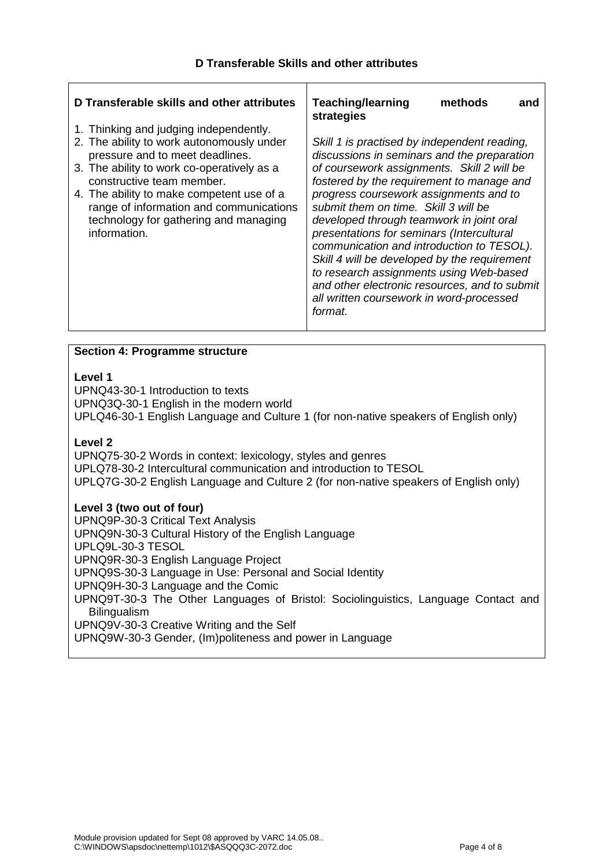| 2. The ability to work autonomously under<br>Skill 1 is practised by independent reading,<br>discussions in seminars and the preparation<br>pressure and to meet deadlines.<br>3. The ability to work co-operatively as a<br>of coursework assignments. Skill 2 will be<br>fostered by the requirement to manage and<br>constructive team member.<br>progress coursework assignments and to<br>4. The ability to make competent use of a<br>submit them on time. Skill 3 will be<br>range of information and communications<br>technology for gathering and managing<br>developed through teamwork in joint oral<br>information.<br>presentations for seminars (Intercultural<br>communication and introduction to TESOL).<br>Skill 4 will be developed by the requirement<br>to research assignments using Web-based<br>and other electronic resources, and to submit<br>all written coursework in word-processed<br>format. | D Transferable skills and other attributes<br>1. Thinking and judging independently. | <b>Teaching/learning</b><br>methods<br>and<br>strategies |
|-------------------------------------------------------------------------------------------------------------------------------------------------------------------------------------------------------------------------------------------------------------------------------------------------------------------------------------------------------------------------------------------------------------------------------------------------------------------------------------------------------------------------------------------------------------------------------------------------------------------------------------------------------------------------------------------------------------------------------------------------------------------------------------------------------------------------------------------------------------------------------------------------------------------------------|--------------------------------------------------------------------------------------|----------------------------------------------------------|
|                                                                                                                                                                                                                                                                                                                                                                                                                                                                                                                                                                                                                                                                                                                                                                                                                                                                                                                               |                                                                                      |                                                          |

## **Section 4: Programme structure**

#### **Level 1**

UPNQ43-30-1 Introduction to texts UPNQ3Q-30-1 English in the modern world UPLQ46-30-1 English Language and Culture 1 (for non-native speakers of English only)

#### **Level 2**

UPNQ75-30-2 Words in context: lexicology, styles and genres UPLQ78-30-2 Intercultural communication and introduction to TESOL UPLQ7G-30-2 English Language and Culture 2 (for non-native speakers of English only)

#### **Level 3 (two out of four)**

UPNQ9P-30-3 Critical Text Analysis UPNQ9N-30-3 Cultural History of the English Language UPLQ9L-30-3 TESOL UPNQ9R-30-3 English Language Project UPNQ9S-30-3 Language in Use: Personal and Social Identity UPNQ9H-30-3 Language and the Comic UPNQ9T-30-3 The Other Languages of Bristol: Sociolinguistics, Language Contact and **Bilingualism** UPNQ9V-30-3 Creative Writing and the Self UPNQ9W-30-3 Gender, (Im)politeness and power in Language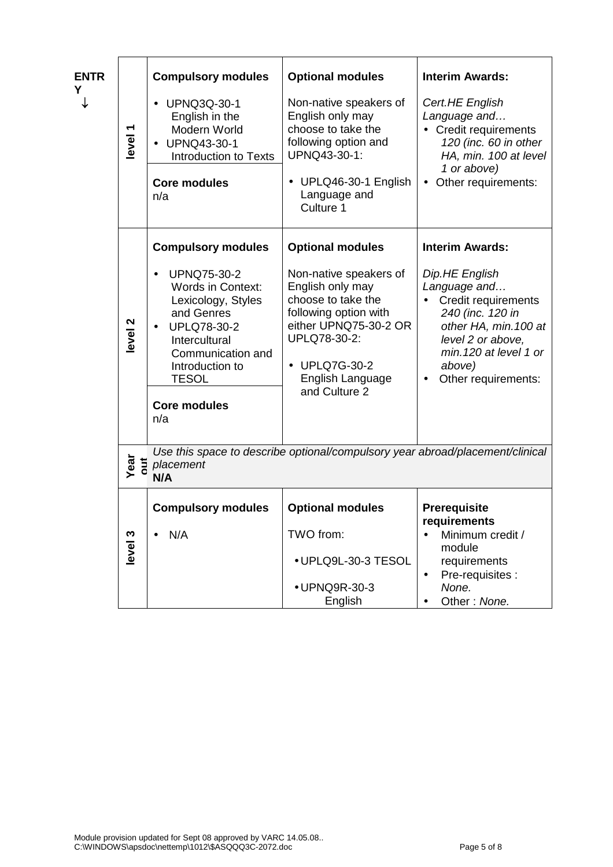| <b>ENTR</b><br>Y<br>↓ | level <sup>1</sup> | <b>Compulsory modules</b><br><b>UPNQ3Q-30-1</b><br>$\bullet$<br>English in the<br>Modern World<br>UPNQ43-30-1<br>$\bullet$<br>Introduction to Texts<br><b>Core modules</b><br>n/a                                                         | <b>Optional modules</b><br>Non-native speakers of<br>English only may<br>choose to take the<br>following option and<br>UPNQ43-30-1:<br>UPLQ46-30-1 English<br>$\bullet$<br>Language and<br>Culture 1 | <b>Interim Awards:</b><br>Cert.HE English<br>Language and<br>• Credit requirements<br>120 (inc. 60 in other<br>HA, min. 100 at level<br>1 or above)<br>Other requirements:<br>$\bullet$         |
|-----------------------|--------------------|-------------------------------------------------------------------------------------------------------------------------------------------------------------------------------------------------------------------------------------------|------------------------------------------------------------------------------------------------------------------------------------------------------------------------------------------------------|-------------------------------------------------------------------------------------------------------------------------------------------------------------------------------------------------|
|                       |                    | <b>Compulsory modules</b>                                                                                                                                                                                                                 | <b>Optional modules</b>                                                                                                                                                                              | <b>Interim Awards:</b>                                                                                                                                                                          |
|                       | level <sub>2</sub> | <b>UPNQ75-30-2</b><br>$\bullet$<br><b>Words in Context:</b><br>Lexicology, Styles<br>and Genres<br><b>UPLQ78-30-2</b><br>$\bullet$<br>Intercultural<br>Communication and<br>Introduction to<br><b>TESOL</b><br><b>Core modules</b><br>n/a | Non-native speakers of<br>English only may<br>choose to take the<br>following option with<br>either UPNQ75-30-2 OR<br>UPLQ78-30-2:<br>• UPLQ7G-30-2<br>English Language<br>and Culture 2             | Dip.HE English<br>Language and<br>Credit requirements<br>240 (inc. 120 in<br>other HA, min. 100 at<br>level 2 or above,<br>min. 120 at level 1 or<br>above)<br>Other requirements:<br>$\bullet$ |
|                       | Year<br>out        | Use this space to describe optional/compulsory year abroad/placement/clinical<br>placement<br>N/A                                                                                                                                         |                                                                                                                                                                                                      |                                                                                                                                                                                                 |
|                       | level <sub>3</sub> | <b>Compulsory modules</b><br>N/A                                                                                                                                                                                                          | <b>Optional modules</b><br>TWO from:<br>• UPLQ9L-30-3 TESOL<br>· UPNQ9R-30-3<br>English                                                                                                              | <b>Prerequisite</b><br>requirements<br>Minimum credit /<br>module<br>requirements<br>Pre-requisites :<br>$\bullet$<br>None.<br>Other: None.                                                     |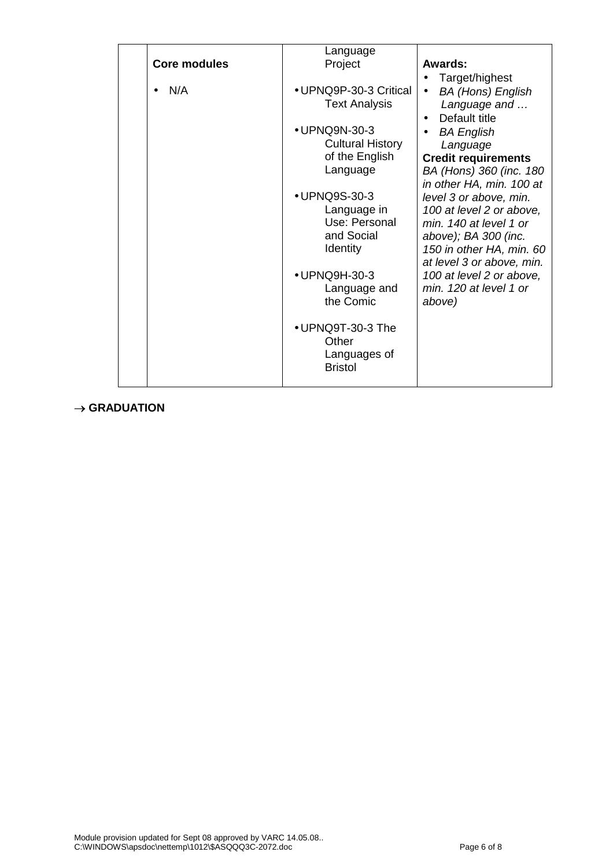|                     | Language                       |                                       |
|---------------------|--------------------------------|---------------------------------------|
| <b>Core modules</b> | Project                        | Awards:                               |
|                     |                                | Target/highest<br>$\bullet$           |
| N/A                 | • UPNQ9P-30-3 Critical         | <b>BA (Hons) English</b><br>$\bullet$ |
|                     | <b>Text Analysis</b>           | Language and                          |
|                     |                                | Default title<br>$\bullet$            |
|                     | • UPNQ9N-30-3                  | <b>BA English</b>                     |
|                     | <b>Cultural History</b>        | Language                              |
|                     | of the English                 | <b>Credit requirements</b>            |
|                     | Language                       | BA (Hons) 360 (inc. 180               |
|                     |                                | in other HA, min. 100 at              |
|                     | • UPNQ9S-30-3                  | level 3 or above, min.                |
|                     | Language in                    | 100 at level 2 or above,              |
|                     | Use: Personal                  | min. 140 at level 1 or                |
|                     | and Social                     | above); BA 300 (inc.                  |
|                     | <b>Identity</b>                | 150 in other HA, min. 60              |
|                     |                                | at level 3 or above, min.             |
|                     | • UPNQ9H-30-3                  | 100 at level 2 or above,              |
|                     | Language and<br>the Comic      | min. 120 at level 1 or                |
|                     |                                | above)                                |
|                     |                                |                                       |
|                     | • UPNQ9T-30-3 The<br>Other     |                                       |
|                     |                                |                                       |
|                     | Languages of<br><b>Bristol</b> |                                       |
|                     |                                |                                       |
|                     |                                |                                       |

# $\rightarrow$  GRADUATION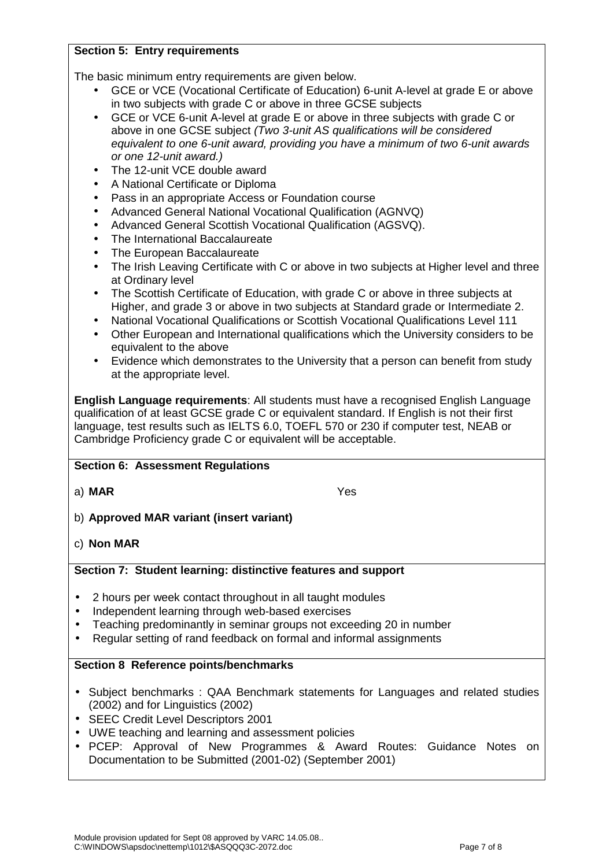## **Section 5: Entry requirements**

The basic minimum entry requirements are given below.

- GCE or VCE (Vocational Certificate of Education) 6-unit A-level at grade E or above in two subjects with grade C or above in three GCSE subjects
- GCE or VCE 6-unit A-level at grade E or above in three subjects with grade C or above in one GCSE subject (Two 3-unit AS qualifications will be considered equivalent to one 6-unit award, providing you have a minimum of two 6-unit awards or one 12-unit award.)
- The 12-unit VCE double award
- A National Certificate or Diploma
- Pass in an appropriate Access or Foundation course
- Advanced General National Vocational Qualification (AGNVQ)
- Advanced General Scottish Vocational Qualification (AGSVQ).
- The International Baccalaureate
- The European Baccalaureate
- The Irish Leaving Certificate with C or above in two subjects at Higher level and three at Ordinary level
- The Scottish Certificate of Education, with grade C or above in three subjects at Higher, and grade 3 or above in two subjects at Standard grade or Intermediate 2.
- National Vocational Qualifications or Scottish Vocational Qualifications Level 111
- Other European and International qualifications which the University considers to be equivalent to the above
- Evidence which demonstrates to the University that a person can benefit from study at the appropriate level.

**English Language requirements**: All students must have a recognised English Language qualification of at least GCSE grade C or equivalent standard. If English is not their first language, test results such as IELTS 6.0, TOEFL 570 or 230 if computer test, NEAB or Cambridge Proficiency grade C or equivalent will be acceptable.

# **Section 6: Assessment Regulations**

a) **MAR** Yes

- b) **Approved MAR variant (insert variant)**
- c) **Non MAR**

## **Section 7: Student learning: distinctive features and support**

- 2 hours per week contact throughout in all taught modules
- Independent learning through web-based exercises
- Teaching predominantly in seminar groups not exceeding 20 in number
- Regular setting of rand feedback on formal and informal assignments

## **Section 8 Reference points/benchmarks**

- Subject benchmarks : QAA Benchmark statements for Languages and related studies (2002) and for Linguistics (2002)
- SEEC Credit Level Descriptors 2001
- UWE teaching and learning and assessment policies
- PCEP: Approval of New Programmes & Award Routes: Guidance Notes on Documentation to be Submitted (2001-02) (September 2001)